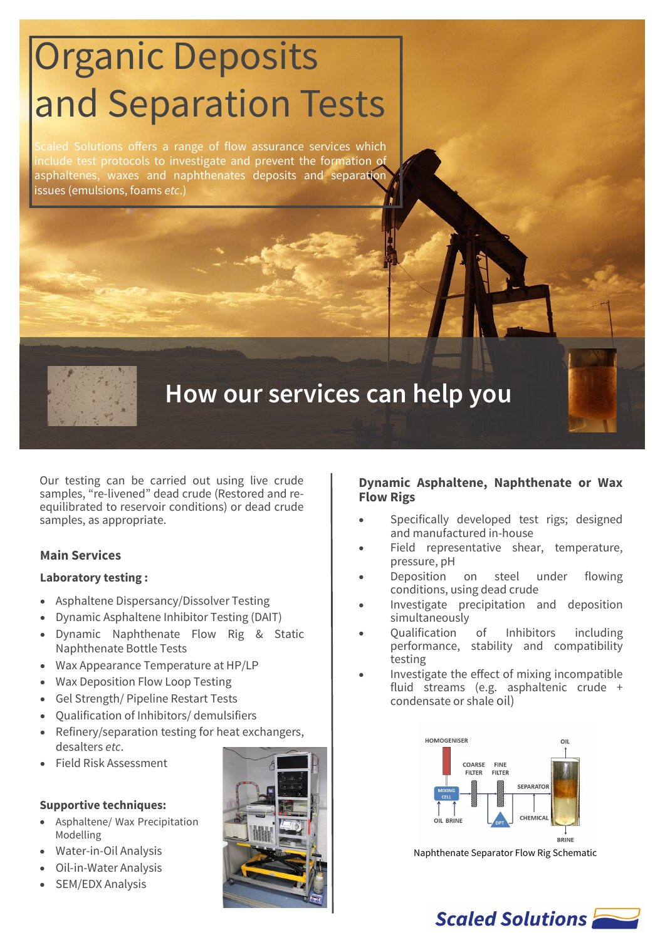# Organic Deposits and Separation Tests

Scaled Solutions offers a range of flow assurance services which include test protocols to investigate and prevent the formation of asphaltenes, waxes and naphthenates deposits and separation issues (emulsions, foams *etc*.)



# **How our services can help you**

Our testing can be carried out using live crude samples, "re-livened" dead crude (Restored and reequilibrated to reservoir conditions) or dead crude samples, as appropriate.

#### **Main Services**

#### **Laboratory testing :**

- Asphaltene Dispersancy/Dissolver Testing
- Dynamic Asphaltene Inhibitor Testing (DAIT)
- Dynamic Naphthenate Flow Rig & Static Naphthenate Bottle Tests
- Wax Appearance Temperature at HP/LP
- Wax Deposition Flow Loop Testing
- Gel Strength/ Pipeline Restart Tests
- Qualification of Inhibitors/ demulsifiers
- Refinery/separation testing for heat exchangers, desalters *etc*.
- Field Risk Assessment

#### **Supportive techniques:**

- Asphaltene/ Wax Precipitation Modelling
- Water-in-Oil Analysis
- Oil-in-Water Analysis
- SEM/EDX Analysis



#### **Dynamic Asphaltene, Naphthenate or Wax Flow Rigs**

- Specifically developed test rigs; designed and manufactured in-house
- Field representative shear, temperature, pressure, pH
- Deposition on steel under flowing conditions, using dead crude
- Investigate precipitation and deposition simultaneously
- Qualification of Inhibitors including performance, stability and compatibility testing
- Investigate the effect of mixing incompatible fluid streams (e.g. asphaltenic crude + condensate or shale oil)



Naphthenate Separator Flow Rig Schematic